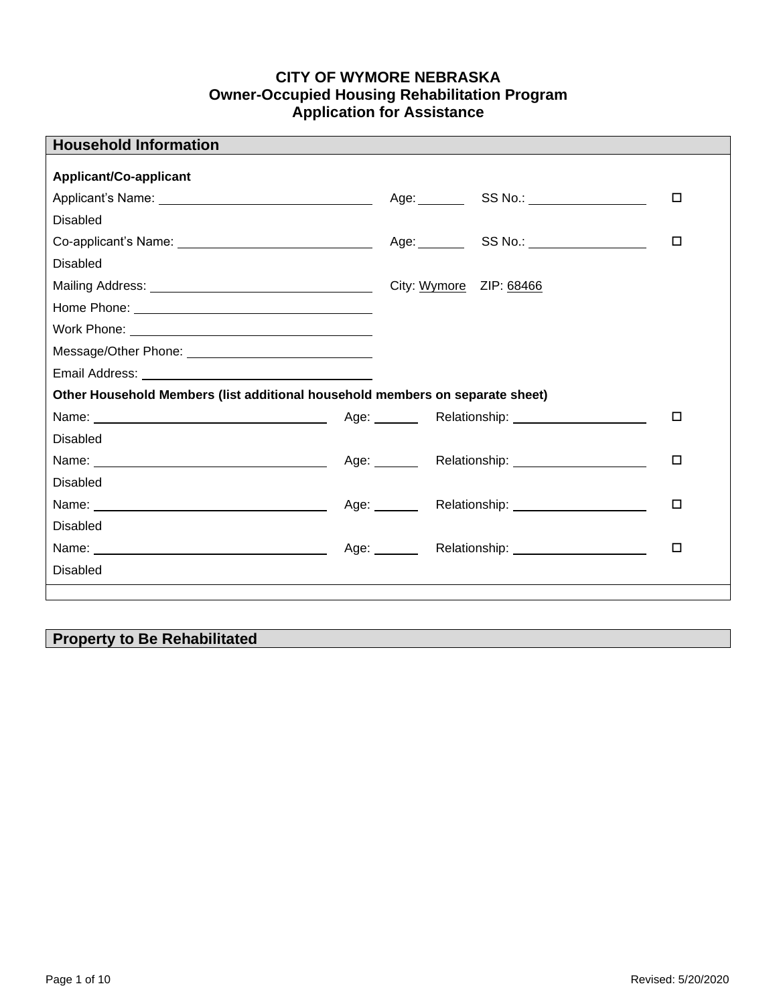## **CITY OF WYMORE NEBRASKA Owner-Occupied Housing Rehabilitation Program Application for Assistance**

| <b>Household Information</b>                                                  |                         |                                                                                                                                                                                                                                      |        |
|-------------------------------------------------------------------------------|-------------------------|--------------------------------------------------------------------------------------------------------------------------------------------------------------------------------------------------------------------------------------|--------|
| <b>Applicant/Co-applicant</b>                                                 |                         |                                                                                                                                                                                                                                      |        |
|                                                                               |                         | Age: ___________SS No.: ____________________                                                                                                                                                                                         | □      |
| <b>Disabled</b>                                                               |                         |                                                                                                                                                                                                                                      |        |
| Co-applicant's Name: ________________________________                         |                         | Age: ___________SS No.: ____________________                                                                                                                                                                                         | □      |
| <b>Disabled</b>                                                               |                         |                                                                                                                                                                                                                                      |        |
|                                                                               | City: Wymore ZIP: 68466 |                                                                                                                                                                                                                                      |        |
|                                                                               |                         |                                                                                                                                                                                                                                      |        |
|                                                                               |                         |                                                                                                                                                                                                                                      |        |
| Message/Other Phone: __________________________________                       |                         |                                                                                                                                                                                                                                      |        |
|                                                                               |                         |                                                                                                                                                                                                                                      |        |
| Other Household Members (list additional household members on separate sheet) |                         |                                                                                                                                                                                                                                      |        |
|                                                                               |                         |                                                                                                                                                                                                                                      | $\Box$ |
| <b>Disabled</b>                                                               |                         |                                                                                                                                                                                                                                      |        |
|                                                                               |                         | Age: Relationship: 1990-1000-2010                                                                                                                                                                                                    | □      |
| <b>Disabled</b>                                                               |                         |                                                                                                                                                                                                                                      |        |
|                                                                               |                         | Age: Relationship: 1990-1991                                                                                                                                                                                                         | □      |
| <b>Disabled</b>                                                               |                         |                                                                                                                                                                                                                                      |        |
|                                                                               |                         | Age: <b>Netationship</b> : Nelationship: Nelationship: Nelationship: Nelationship: Nelson Superman Contains Containing Contains Contains Contains Contains Contains Contains Contains Contains Contains Contains Contains Contains C | □      |
| <b>Disabled</b>                                                               |                         |                                                                                                                                                                                                                                      |        |
|                                                                               |                         |                                                                                                                                                                                                                                      |        |

# **Property to Be Rehabilitated**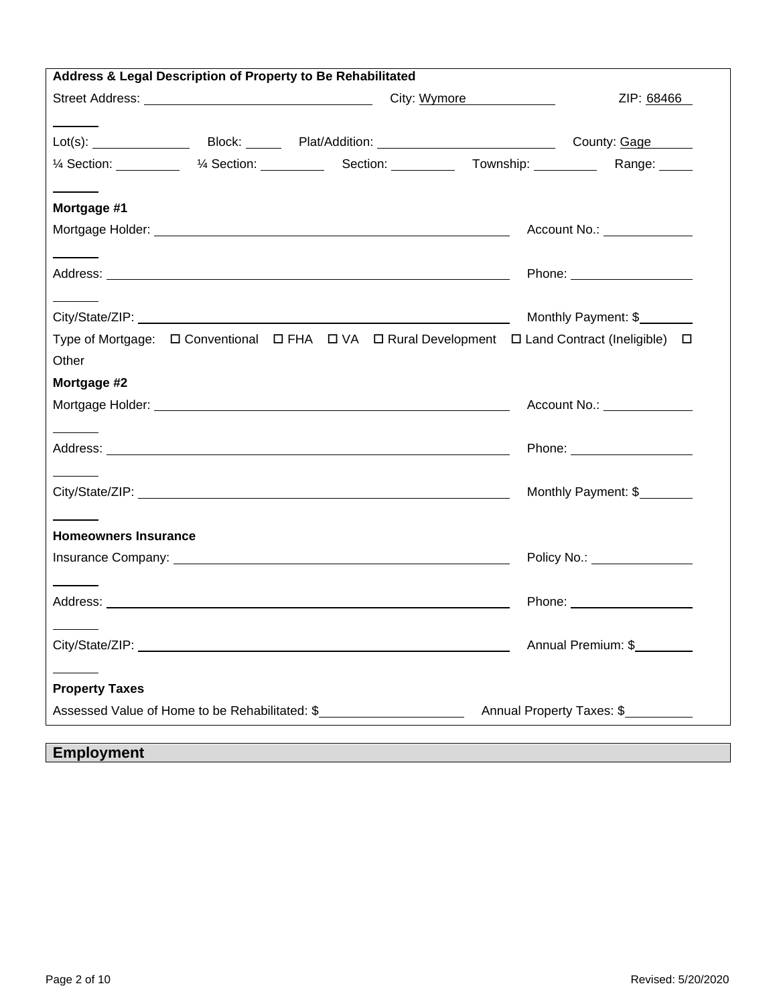| Address & Legal Description of Property to Be Rehabilitated                                                                  |                                      |
|------------------------------------------------------------------------------------------------------------------------------|--------------------------------------|
|                                                                                                                              | ZIP: 68466                           |
|                                                                                                                              |                                      |
| 1/4 Section: ___________ 1/4 Section: __________ Section: _________ Township: ________                                       | Range: _____                         |
|                                                                                                                              |                                      |
| Mortgage #1                                                                                                                  |                                      |
|                                                                                                                              | Account No.: <u>_______________</u>  |
|                                                                                                                              |                                      |
|                                                                                                                              | Phone: _______________________       |
|                                                                                                                              |                                      |
|                                                                                                                              | Monthly Payment: \$                  |
| Type of Mortgage: $\Box$ Conventional $\Box$ FHA $\Box$ VA $\Box$ Rural Development $\Box$ Land Contract (Ineligible) $\Box$ |                                      |
| Other                                                                                                                        |                                      |
| Mortgage #2                                                                                                                  |                                      |
|                                                                                                                              | Account No.: <u>________________</u> |
|                                                                                                                              |                                      |
|                                                                                                                              |                                      |
|                                                                                                                              | Monthly Payment: \$                  |
|                                                                                                                              |                                      |
| <b>Homeowners Insurance</b>                                                                                                  |                                      |
|                                                                                                                              | Policy No.: _________________        |
|                                                                                                                              |                                      |
|                                                                                                                              |                                      |
|                                                                                                                              |                                      |
| City/State/ZIP: New York City/State/ZIP:                                                                                     | Annual Premium: \$                   |
|                                                                                                                              |                                      |
| <b>Property Taxes</b>                                                                                                        |                                      |
| Assessed Value of Home to be Rehabilitated: \$                                                                               | Annual Property Taxes: \$            |
|                                                                                                                              |                                      |
| <b>Employment</b>                                                                                                            |                                      |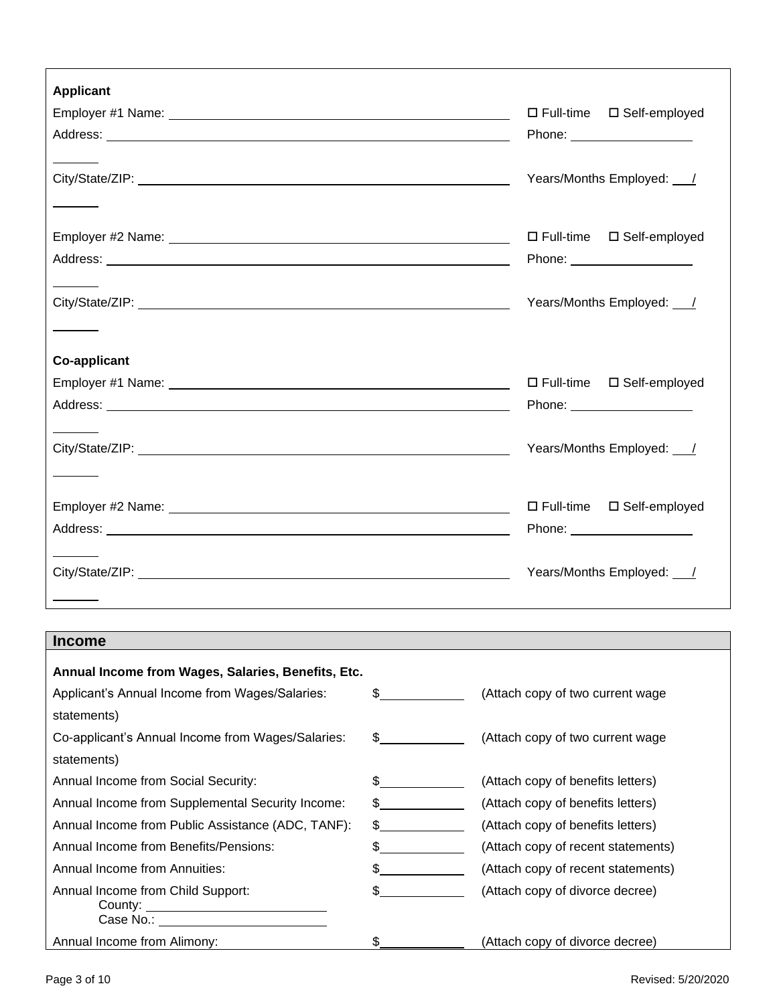| <b>Applicant</b>    |                                        |
|---------------------|----------------------------------------|
|                     | □ Full-time □ Self-employed            |
|                     | Phone: <u>____________________</u>     |
|                     |                                        |
|                     | Years/Months Employed: /               |
|                     |                                        |
|                     |                                        |
|                     | □ Full-time □ Self-employed            |
|                     | Phone: ______________________          |
|                     | Years/Months Employed: /               |
|                     |                                        |
|                     |                                        |
| <b>Co-applicant</b> |                                        |
|                     | $\Box$ Full-time $\Box$ Self-employed  |
|                     | Phone: ___________________             |
|                     |                                        |
|                     | Years/Months Employed: /               |
|                     |                                        |
|                     |                                        |
|                     | $\square$ Full-time<br>□ Self-employed |
|                     | Phone: ________________________        |
|                     |                                        |
|                     | Years/Months Employed: /               |
|                     |                                        |

# **Income**

 $\Gamma$ 

| Annual Income from Wages, Salaries, Benefits, Etc.    |                               |                                    |
|-------------------------------------------------------|-------------------------------|------------------------------------|
| Applicant's Annual Income from Wages/Salaries:        | $\mathbb{S}$                  | (Attach copy of two current wage)  |
| statements)                                           |                               |                                    |
| Co-applicant's Annual Income from Wages/Salaries:     | $\mathcal{S}$                 | (Attach copy of two current wage)  |
| statements)                                           |                               |                                    |
| Annual Income from Social Security:                   | S.                            | (Attach copy of benefits letters)  |
| Annual Income from Supplemental Security Income:      | $\mathcal{S}$                 | (Attach copy of benefits letters)  |
| Annual Income from Public Assistance (ADC, TANF):     | $\mathbb{S}$ and $\mathbb{S}$ | (Attach copy of benefits letters)  |
| Annual Income from Benefits/Pensions:                 | \$.                           | (Attach copy of recent statements) |
| <b>Annual Income from Annuities:</b>                  | S.                            | (Attach copy of recent statements) |
| Annual Income from Child Support:                     | \$.                           | (Attach copy of divorce decree)    |
| County: ___________________________<br>Case No.: 2008 |                               |                                    |
| Annual Income from Alimony:                           | \$                            | (Attach copy of divorce decree)    |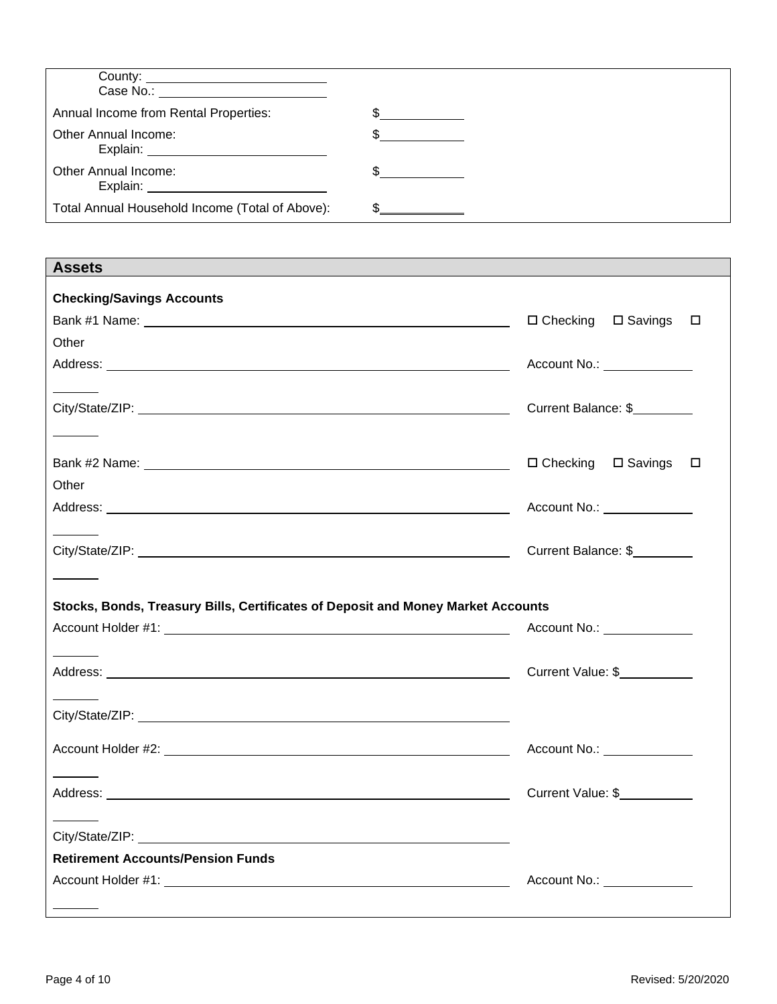| Case No.: The contract of the contract of the contract of the contract of the contract of the contract of the contract of the contract of the contract of the contract of the contract of the contract of the contract of the |  |
|-------------------------------------------------------------------------------------------------------------------------------------------------------------------------------------------------------------------------------|--|
| Annual Income from Rental Properties:                                                                                                                                                                                         |  |
| Other Annual Income:                                                                                                                                                                                                          |  |
| <b>Other Annual Income:</b><br>Explain: Explain                                                                                                                                                                               |  |
| Total Annual Household Income (Total of Above):                                                                                                                                                                               |  |

| <b>Assets</b>                                                                    |                                          |
|----------------------------------------------------------------------------------|------------------------------------------|
| <b>Checking/Savings Accounts</b>                                                 |                                          |
|                                                                                  | $\Box$ Checking $\Box$ Savings<br>$\Box$ |
| Other                                                                            |                                          |
|                                                                                  | Account No.: <u>_______________</u>      |
|                                                                                  |                                          |
|                                                                                  | Current Balance: \$                      |
|                                                                                  |                                          |
|                                                                                  | $\Box$ Checking $\Box$ Savings $\Box$    |
| Other                                                                            |                                          |
|                                                                                  | Account No.: <u>________________</u>     |
|                                                                                  |                                          |
|                                                                                  | Current Balance: \$                      |
|                                                                                  |                                          |
| Stocks, Bonds, Treasury Bills, Certificates of Deposit and Money Market Accounts |                                          |
|                                                                                  | Account No.: <u>_______________</u>      |
|                                                                                  |                                          |
|                                                                                  | Current Value: \$                        |
|                                                                                  |                                          |
|                                                                                  |                                          |
|                                                                                  |                                          |
|                                                                                  |                                          |
|                                                                                  | Account No.: <u>________________</u>     |
|                                                                                  |                                          |
|                                                                                  | Current Value: \$                        |
|                                                                                  |                                          |
| <b>Retirement Accounts/Pension Funds</b>                                         |                                          |
|                                                                                  | Account No.: <u>_________________</u>    |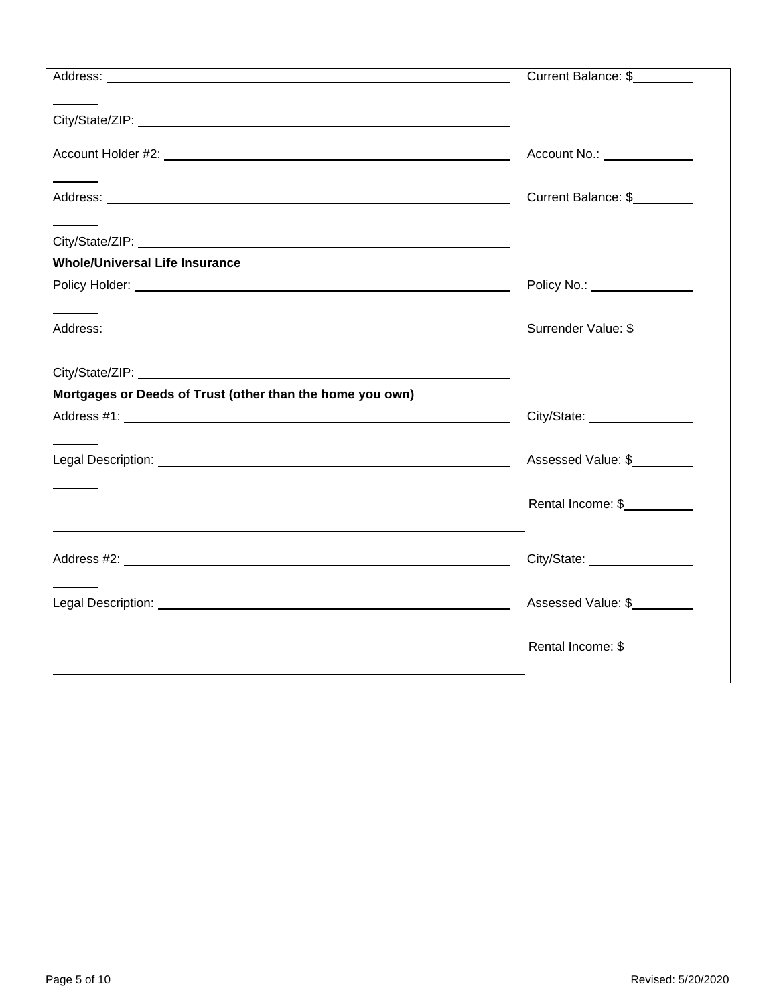|                                                           | Current Balance: \$          |
|-----------------------------------------------------------|------------------------------|
|                                                           |                              |
|                                                           |                              |
|                                                           | Account No.: ______________  |
|                                                           |                              |
|                                                           | Current Balance: \$          |
|                                                           |                              |
| <b>Whole/Universal Life Insurance</b>                     |                              |
|                                                           | Policy No.: ________________ |
|                                                           | Surrender Value: \$          |
|                                                           |                              |
|                                                           |                              |
| Mortgages or Deeds of Trust (other than the home you own) |                              |
|                                                           | City/State: 2008             |
|                                                           | Assessed Value: \$           |
|                                                           | Rental Income: \$            |
|                                                           |                              |
|                                                           |                              |
|                                                           | Assessed Value: \$           |
|                                                           |                              |
|                                                           | Rental Income: \$            |
|                                                           |                              |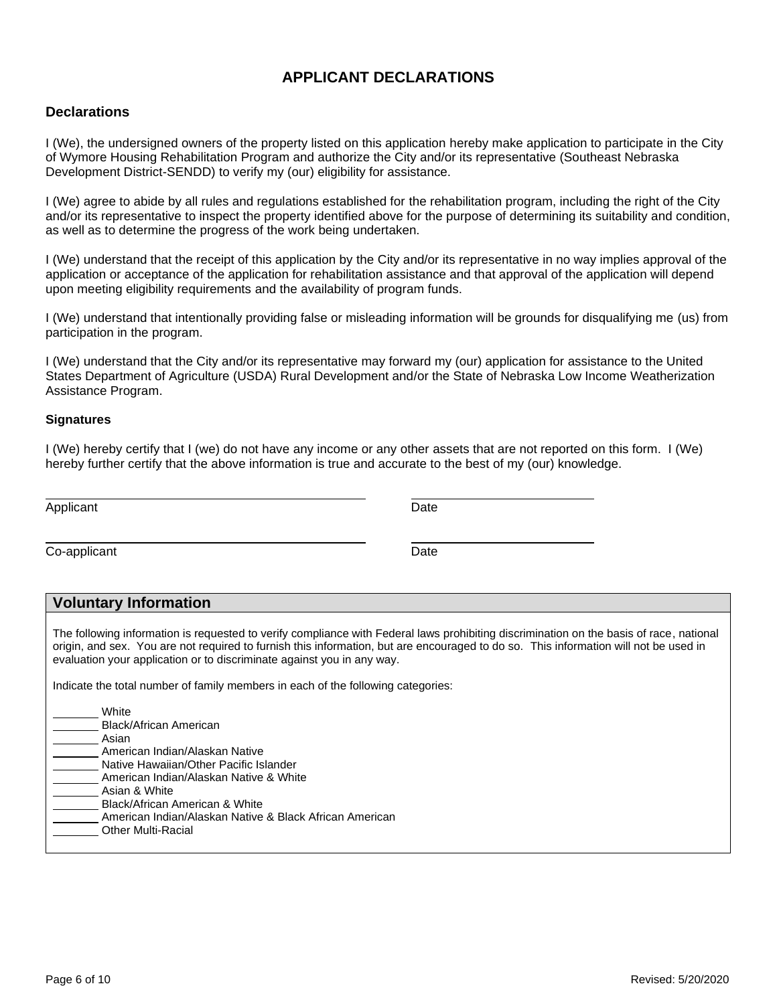## **APPLICANT DECLARATIONS**

### **Declarations**

I (We), the undersigned owners of the property listed on this application hereby make application to participate in the City of Wymore Housing Rehabilitation Program and authorize the City and/or its representative (Southeast Nebraska Development District-SENDD) to verify my (our) eligibility for assistance.

I (We) agree to abide by all rules and regulations established for the rehabilitation program, including the right of the City and/or its representative to inspect the property identified above for the purpose of determining its suitability and condition, as well as to determine the progress of the work being undertaken.

I (We) understand that the receipt of this application by the City and/or its representative in no way implies approval of the application or acceptance of the application for rehabilitation assistance and that approval of the application will depend upon meeting eligibility requirements and the availability of program funds.

I (We) understand that intentionally providing false or misleading information will be grounds for disqualifying me (us) from participation in the program.

I (We) understand that the City and/or its representative may forward my (our) application for assistance to the United States Department of Agriculture (USDA) Rural Development and/or the State of Nebraska Low Income Weatherization Assistance Program.

#### **Signatures**

I (We) hereby certify that I (we) do not have any income or any other assets that are not reported on this form. I (We) hereby further certify that the above information is true and accurate to the best of my (our) knowledge.

| Applicant    | Date |  |
|--------------|------|--|
| Co-applicant | Date |  |

### **Voluntary Information**

The following information is requested to verify compliance with Federal laws prohibiting discrimination on the basis of race, national origin, and sex. You are not required to furnish this information, but are encouraged to do so. This information will not be used in evaluation your application or to discriminate against you in any way.

Indicate the total number of family members in each of the following categories:

| White                                                   |
|---------------------------------------------------------|
| Black/African American                                  |
| Asian                                                   |
| American Indian/Alaskan Native                          |
| Native Hawaiian/Other Pacific Islander                  |
| American Indian/Alaskan Native & White                  |
| Asian & White                                           |
| Black/African American & White                          |
| American Indian/Alaskan Native & Black African American |
| <b>Other Multi-Racial</b>                               |
|                                                         |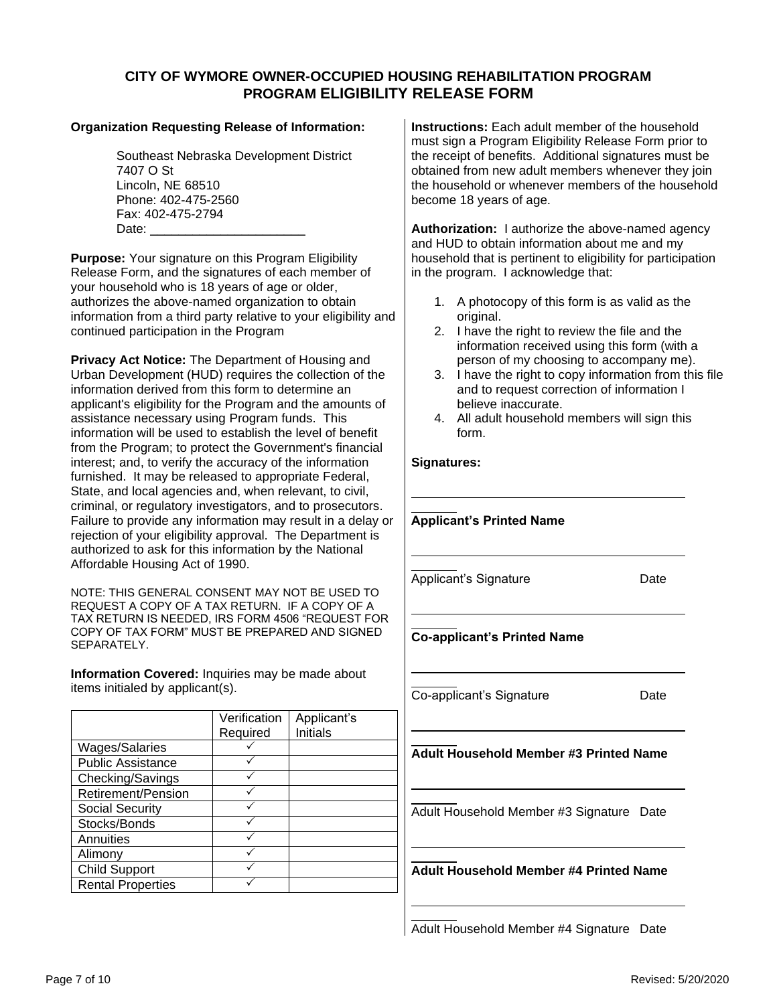### **CITY OF WYMORE OWNER-OCCUPIED HOUSING REHABILITATION PROGRAM PROGRAM ELIGIBILITY RELEASE FORM**

### **Organization Requesting Release of Information:**

Southeast Nebraska Development District 7407 O St Lincoln, NE 68510 Phone: 402-475-2560 Fax: 402-475-2794 Date:  $\overline{\phantom{a}}$ 

**Purpose:** Your signature on this Program Eligibility Release Form, and the signatures of each member of your household who is 18 years of age or older, authorizes the above-named organization to obtain information from a third party relative to your eligibility and continued participation in the Program

**Privacy Act Notice:** The Department of Housing and Urban Development (HUD) requires the collection of the information derived from this form to determine an applicant's eligibility for the Program and the amounts of assistance necessary using Program funds. This information will be used to establish the level of benefit from the Program; to protect the Government's financial interest; and, to verify the accuracy of the information furnished. It may be released to appropriate Federal, State, and local agencies and, when relevant, to civil, criminal, or regulatory investigators, and to prosecutors. Failure to provide any information may result in a delay or rejection of your eligibility approval. The Department is authorized to ask for this information by the National Affordable Housing Act of 1990.

NOTE: THIS GENERAL CONSENT MAY NOT BE USED TO REQUEST A COPY OF A TAX RETURN. IF A COPY OF A TAX RETURN IS NEEDED, IRS FORM 4506 "REQUEST FOR COPY OF TAX FORM" MUST BE PREPARED AND SIGNED SEPARATELY.

**Information Covered:** Inquiries may be made about items initialed by applicant(s).

|                          | Verification<br>Required | Applicant's<br>Initials |
|--------------------------|--------------------------|-------------------------|
| <b>Wages/Salaries</b>    |                          |                         |
| <b>Public Assistance</b> |                          |                         |
| Checking/Savings         |                          |                         |
| Retirement/Pension       |                          |                         |
| <b>Social Security</b>   |                          |                         |
| Stocks/Bonds             |                          |                         |
| Annuities                |                          |                         |
| Alimony                  |                          |                         |
| <b>Child Support</b>     |                          |                         |
| <b>Rental Properties</b> |                          |                         |

**Instructions:** Each adult member of the household must sign a Program Eligibility Release Form prior to the receipt of benefits. Additional signatures must be obtained from new adult members whenever they join the household or whenever members of the household become 18 years of age.

**Authorization:** I authorize the above-named agency and HUD to obtain information about me and my household that is pertinent to eligibility for participation in the program. I acknowledge that:

- 1. A photocopy of this form is as valid as the original.
- 2. I have the right to review the file and the information received using this form (with a person of my choosing to accompany me).
- 3. I have the right to copy information from this file and to request correction of information I believe inaccurate.
- 4. All adult household members will sign this form.

### **Signatures:**

| <b>Applicant's Printed Name</b>               |      |
|-----------------------------------------------|------|
| Applicant's Signature                         | Date |
| <b>Co-applicant's Printed Name</b>            |      |
| Co-applicant's Signature                      | Date |
| <b>Adult Household Member #3 Printed Name</b> |      |
| Adult Household Member #3 Signature Date      |      |

**Adult Household Member #4 Printed Name**

Adult Household Member #4 Signature Date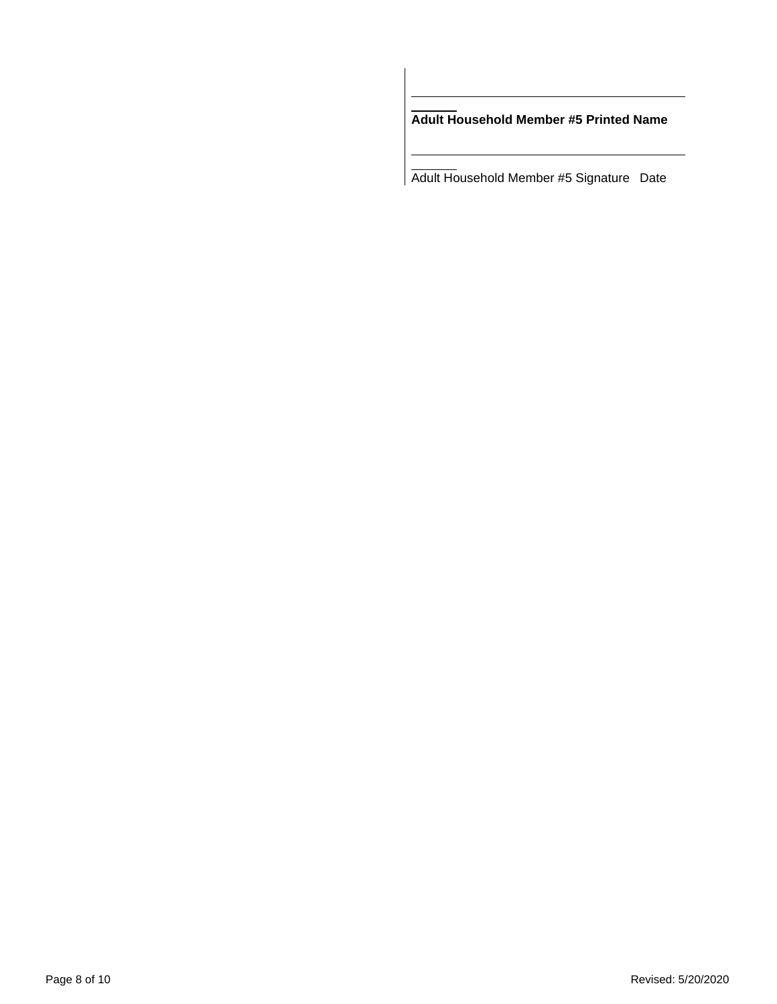**Adult Household Member #5 Printed Name**

Adult Household Member #5 Signature Date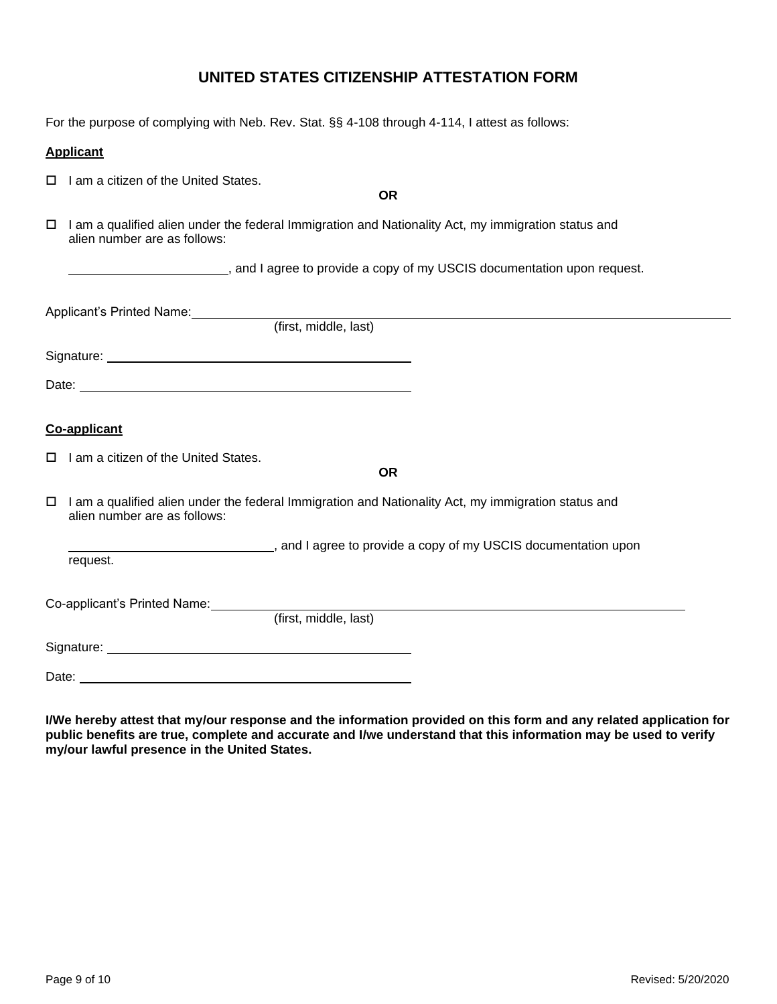## **UNITED STATES CITIZENSHIP ATTESTATION FORM**

For the purpose of complying with Neb. Rev. Stat. §§ 4-108 through 4-114, I attest as follows:

### **Applicant**

 $\Box$  I am a citizen of the United States.

**OR**

 $\Box$  I am a qualified alien under the federal Immigration and Nationality Act, my immigration status and alien number are as follows:

, and I agree to provide a copy of my USCIS documentation upon request.

| Applicant's Printed Name:                                                                                 |           |
|-----------------------------------------------------------------------------------------------------------|-----------|
| (first, middle, last)                                                                                     |           |
|                                                                                                           |           |
|                                                                                                           |           |
| Co-applicant                                                                                              |           |
| $\Box$ I am a citizen of the United States.                                                               | <b>OR</b> |
| $\Box$ I am a qualified alien under the federal Immigration and Nationality Act. my immigration status an |           |

gration and Nationality Act, my immigration status and alien number are as follows:

, and I agree to provide a copy of my USCIS documentation upon request.

Co-applicant's Printed Name:

(first, middle, last)

Signature:

Date: <u>example</u>

**I/We hereby attest that my/our response and the information provided on this form and any related application for public benefits are true, complete and accurate and I/we understand that this information may be used to verify my/our lawful presence in the United States.**